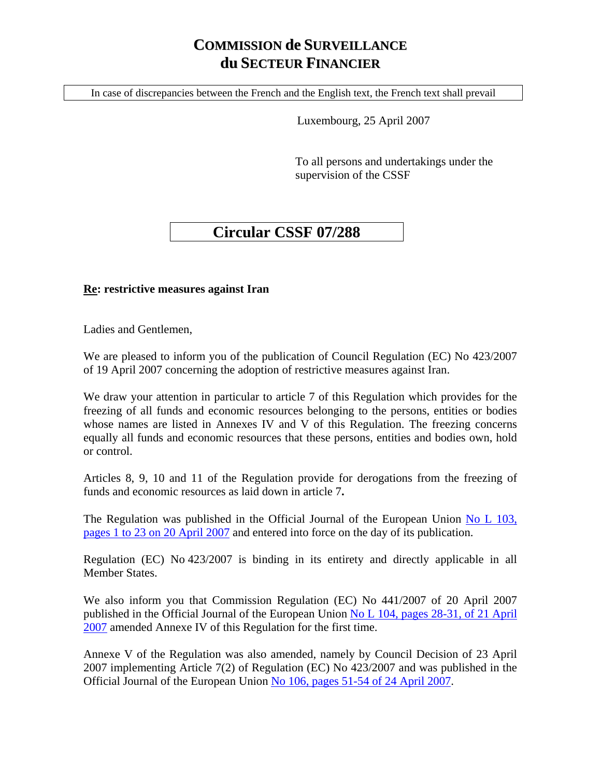## **COMMISSION de SURVEILLANCE du SECTEUR FINANCIER**

In case of discrepancies between the French and the English text, the French text shall prevail

Luxembourg, 25 April 2007

To all persons and undertakings under the supervision of the CSSF

## **Circular CSSF 07/288**

## **Re: restrictive measures against Iran**

Ladies and Gentlemen,

We are pleased to inform you of the publication of Council Regulation (EC) No 423/2007 of 19 April 2007 concerning the adoption of restrictive measures against Iran.

We draw your attention in particular to article 7 of this Regulation which provides for the freezing of all funds and economic resources belonging to the persons, entities or bodies whose names are listed in Annexes IV and V of this Regulation. The freezing concerns equally all funds and economic resources that these persons, entities and bodies own, hold or control.

Articles 8, 9, 10 and 11 of the Regulation provide for derogations from the freezing of funds and economic resources as laid down in article 7**.**

The Regulation was published in the Official Journal of the European Union No L 103, [pages 1 to 23 on 20 April 2007](http://eur-lex.europa.eu/LexUriServ/site/en/oj/2007/l_103/l_10320070420en00010023.pdf) and entered into force on the day of its publication.

Regulation (EC) No 423/2007 is binding in its entirety and directly applicable in all Member States.

We also inform you that Commission Regulation (EC) No 441/2007 of 20 April 2007 published in the Official Journal of the European Union [No L 104, pages 28-31, of 21 April](http://eur-lex.europa.eu/LexUriServ/site/en/oj/2007/l_104/l_10420070421en00280031.pdf)  [2007](http://eur-lex.europa.eu/LexUriServ/site/en/oj/2007/l_104/l_10420070421en00280031.pdf) amended Annexe IV of this Regulation for the first time.

Annexe V of the Regulation was also amended, namely by Council Decision of 23 April 2007 implementing Article 7(2) of Regulation (EC) No 423/2007 and was published in the Official Journal of the European Union [No 106, pages 51-54 of 24 April 2007.](http://eur-lex.europa.eu/LexUriServ/site/en/oj/2007/l_106/l_10620070424en00510054.pdf)